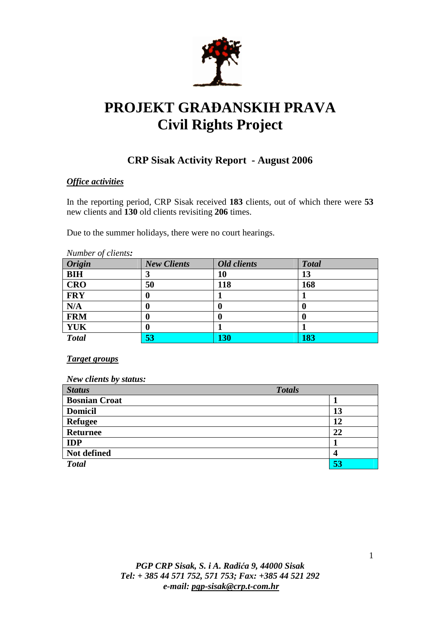

# **PROJEKT GRA**ð**ANSKIH PRAVA Civil Rights Project**

## **CRP Sisak Activity Report - August 2006**

## *Office activities*

In the reporting period, CRP Sisak received **183** clients, out of which there were **53**  new clients and **130** old clients revisiting **206** times.

Due to the summer holidays, there were no court hearings.

| Number of clients: |                    |                    |              |  |
|--------------------|--------------------|--------------------|--------------|--|
| <b>Origin</b>      | <b>New Clients</b> | <b>Old clients</b> | <b>Total</b> |  |
| <b>BIH</b>         | 3                  | 10                 | 13           |  |
| <b>CRO</b>         | 50                 | 118                | 168          |  |
| <b>FRY</b>         | 0                  |                    |              |  |
| N/A                | 0                  | 0                  | O            |  |
| <b>FRM</b>         | 0                  | O                  | O            |  |
| YUK                | 0                  |                    |              |  |
| <b>Total</b>       | 53                 | <b>130</b>         | 183          |  |

*Target groups*

*New clients by status:* 

| <b>Status</b>        | <b>Totals</b> |
|----------------------|---------------|
| <b>Bosnian Croat</b> |               |
| <b>Domicil</b>       | 13            |
| <b>Refugee</b>       | 12            |
| <b>Returnee</b>      | 22            |
| <b>IDP</b>           |               |
| Not defined          | 4             |
| <b>Total</b>         | 53            |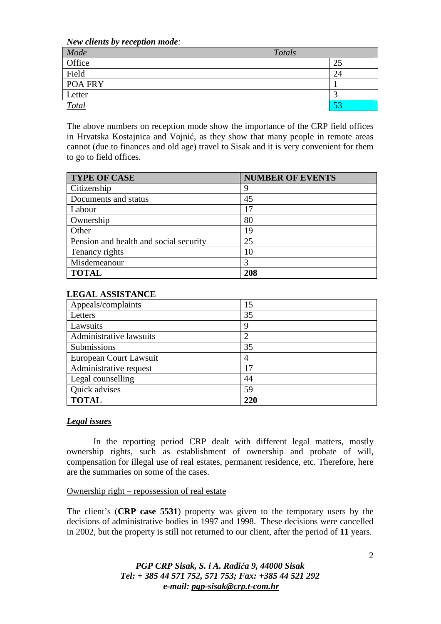*New clients by reception mode:* 

| $\overline{\phantom{a}}$<br>Mode | Totals |    |
|----------------------------------|--------|----|
| Office                           |        | 25 |
| Field                            |        | 24 |
| POA FRY                          |        |    |
| Letter                           |        |    |
| <b>Total</b>                     |        | 53 |

The above numbers on reception mode show the importance of the CRP field offices in Hrvatska Kostajnica and Vojnić, as they show that many people in remote areas cannot (due to finances and old age) travel to Sisak and it is very convenient for them to go to field offices.

| <b>TYPE OF CASE</b>                    | <b>NUMBER OF EVENTS</b> |
|----------------------------------------|-------------------------|
| Citizenship                            | 9                       |
| Documents and status                   | 45                      |
| Labour                                 | 17                      |
| Ownership                              | 80                      |
| Other                                  | 19                      |
| Pension and health and social security | 25                      |
| Tenancy rights                         | 10                      |
| Misdemeanour                           | 3                       |
| <b>TOTAL</b>                           | 208                     |

#### **LEGAL ASSISTANCE**

| Appeals/complaints      | 15  |
|-------------------------|-----|
| Letters                 | 35  |
| Lawsuits                | 9   |
| Administrative lawsuits | ി   |
| Submissions             | 35  |
| European Court Lawsuit  | 4   |
| Administrative request  | 17  |
| Legal counselling       | 44  |
| Quick advises           | 59  |
| <b>TOTAL</b>            | 220 |

#### *Legal issues*

 In the reporting period CRP dealt with different legal matters, mostly ownership rights, such as establishment of ownership and probate of will, compensation for illegal use of real estates, permanent residence, etc. Therefore, here are the summaries on some of the cases.

#### Ownership right – repossession of real estate

The client's (**CRP case 5531**) property was given to the temporary users by the decisions of administrative bodies in 1997 and 1998. These decisions were cancelled in 2002, but the property is still not returned to our client, after the period of **11** years.

## *PGP CRP Sisak, S. i A. Radi*ć*a 9, 44000 Sisak Tel: + 385 44 571 752, 571 753; Fax: +385 44 521 292 e-mail: pgp-sisak@crp.t-com.hr*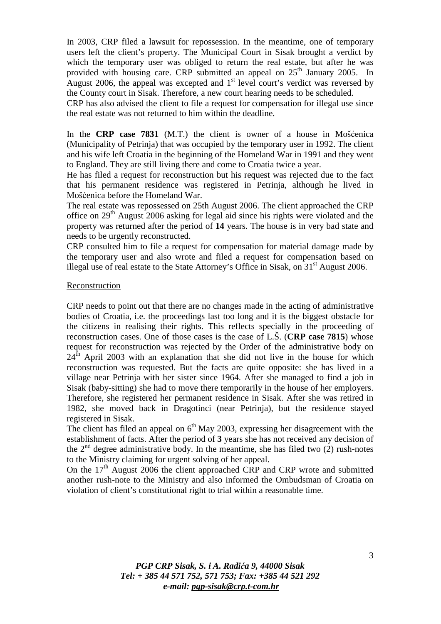In 2003, CRP filed a lawsuit for repossession. In the meantime, one of temporary users left the client's property. The Municipal Court in Sisak brought a verdict by which the temporary user was obliged to return the real estate, but after he was provided with housing care. CRP submitted an appeal on  $25<sup>th</sup>$  January 2005. In August 2006, the appeal was excepted and  $1<sup>st</sup>$  level court's verdict was reversed by the County court in Sisak. Therefore, a new court hearing needs to be scheduled.

CRP has also advised the client to file a request for compensation for illegal use since the real estate was not returned to him within the deadline.

In the **CRP case 7831** (M.T.) the client is owner of a house in Mošćenica (Municipality of Petrinja) that was occupied by the temporary user in 1992. The client and his wife left Croatia in the beginning of the Homeland War in 1991 and they went to England. They are still living there and come to Croatia twice a year.

He has filed a request for reconstruction but his request was rejected due to the fact that his permanent residence was registered in Petrinja, although he lived in Mošćenica before the Homeland War.

The real estate was repossessed on 25th August 2006. The client approached the CRP office on  $29<sup>th</sup>$  August 2006 asking for legal aid since his rights were violated and the property was returned after the period of **14** years. The house is in very bad state and needs to be urgently reconstructed.

CRP consulted him to file a request for compensation for material damage made by the temporary user and also wrote and filed a request for compensation based on illegal use of real estate to the State Attorney's Office in Sisak, on  $31<sup>st</sup>$  August 2006.

#### Reconstruction

CRP needs to point out that there are no changes made in the acting of administrative bodies of Croatia, i.e. the proceedings last too long and it is the biggest obstacle for the citizens in realising their rights. This reflects specially in the proceeding of reconstruction cases. One of those cases is the case of L.Š. (**CRP case 7815**) whose request for reconstruction was rejected by the Order of the administrative body on  $24<sup>th</sup>$  April 2003 with an explanation that she did not live in the house for which reconstruction was requested. But the facts are quite opposite: she has lived in a village near Petrinja with her sister since 1964. After she managed to find a job in Sisak (baby-sitting) she had to move there temporarily in the house of her employers. Therefore, she registered her permanent residence in Sisak. After she was retired in 1982, she moved back in Dragotinci (near Petrinja), but the residence stayed registered in Sisak.

The client has filed an appeal on  $6<sup>th</sup>$  May 2003, expressing her disagreement with the establishment of facts. After the period of **3** years she has not received any decision of the  $2<sup>nd</sup>$  degree administrative body. In the meantime, she has filed two (2) rush-notes to the Ministry claiming for urgent solving of her appeal.

On the  $17<sup>th</sup>$  August 2006 the client approached CRP and CRP wrote and submitted another rush-note to the Ministry and also informed the Ombudsman of Croatia on violation of client's constitutional right to trial within a reasonable time.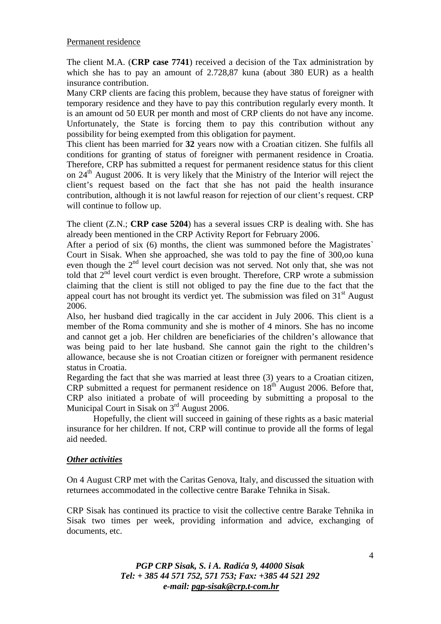#### Permanent residence

The client M.A. (**CRP case 7741**) received a decision of the Tax administration by which she has to pay an amount of 2.728,87 kuna (about 380 EUR) as a health insurance contribution.

Many CRP clients are facing this problem, because they have status of foreigner with temporary residence and they have to pay this contribution regularly every month. It is an amount od 50 EUR per month and most of CRP clients do not have any income. Unfortunately, the State is forcing them to pay this contribution without any possibility for being exempted from this obligation for payment.

This client has been married for **32** years now with a Croatian citizen. She fulfils all conditions for granting of status of foreigner with permanent residence in Croatia. Therefore, CRP has submitted a request for permanent residence status for this client on 24<sup>th</sup> August 2006. It is very likely that the Ministry of the Interior will reject the client's request based on the fact that she has not paid the health insurance contribution, although it is not lawful reason for rejection of our client's request. CRP will continue to follow up.

The client (Z.N.; **CRP case 5204**) has a several issues CRP is dealing with. She has already been mentioned in the CRP Activity Report for February 2006.

After a period of six (6) months, the client was summoned before the Magistrates` Court in Sisak. When she approached, she was told to pay the fine of 300,oo kuna even though the 2<sup>nd</sup> level court decision was not served. Not only that, she was not told that 2<sup>nd</sup> level court verdict is even brought. Therefore, CRP wrote a submission claiming that the client is still not obliged to pay the fine due to the fact that the appeal court has not brought its verdict yet. The submission was filed on  $31<sup>st</sup>$  August 2006.

Also, her husband died tragically in the car accident in July 2006. This client is a member of the Roma community and she is mother of 4 minors. She has no income and cannot get a job. Her children are beneficiaries of the children's allowance that was being paid to her late husband. She cannot gain the right to the children's allowance, because she is not Croatian citizen or foreigner with permanent residence status in Croatia.

Regarding the fact that she was married at least three (3) years to a Croatian citizen, CRP submitted a request for permanent residence on 18<sup>th</sup> August 2006. Before that, CRP also initiated a probate of will proceeding by submitting a proposal to the Municipal Court in Sisak on 3<sup>rd</sup> August 2006.

 Hopefully, the client will succeed in gaining of these rights as a basic material insurance for her children. If not, CRP will continue to provide all the forms of legal aid needed.

## *Other activities*

On 4 August CRP met with the Caritas Genova, Italy, and discussed the situation with returnees accommodated in the collective centre Barake Tehnika in Sisak.

CRP Sisak has continued its practice to visit the collective centre Barake Tehnika in Sisak two times per week, providing information and advice, exchanging of documents, etc.

> *PGP CRP Sisak, S. i A. Radi*ć*a 9, 44000 Sisak Tel: + 385 44 571 752, 571 753; Fax: +385 44 521 292 e-mail: pgp-sisak@crp.t-com.hr*